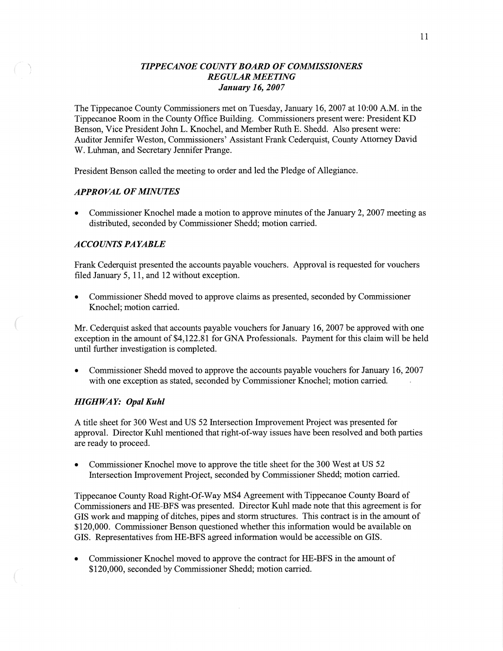## *TIPPECANOE COUNT Y BOARD* OF *COMMISSIONERS REGULAR MEETING January* 16, *2007*

**<sup>V</sup>**The Tippecanoe County Commissioners met on Tuesday, January 16, 2007 at 10:00 AM. in the Tippecanoe Room in the County Office Building. Commissioners present were: President KD Benson, Vice President John L. Knochel, and Member Ruth E. Shedd. **Also** present were: Auditor Jennifer Weston, Commissioners' Assistant **Frank** Cederquist, County Attorney David W. Luhman, and Secretary Jennifer Prange.

President Benson called the meeting to order and led the Pledge of Allegiance.

### *APPROVAL* OF *MINUTES*

**0** Commissioner Knochel made a motion to approve minutes of the January 2, 2007 meeting as distributed, seconded by Commissioner Shedd; **motion** carried.

# *ACCOUNTS* PA *YABLE*

Frank Cederquist presented the accounts payable vouchers. Approval is requested for vouchers filed January 5, 11, and 12 without exception.

**0** Commissioner Shedd moved to approve claims as presented, seconded by Commissioner Knochel; motion carried.

Mr. Cederquist asked that accounts payable vouchers for January 16, 2007 be approved with one exception in the amount of \$4,122.81 for GNA Professionals. Payment for **this** claim will be held until further investigation is completed.

**0** Commissioner Shedd moved to approve the accounts payable vouchers for January 16, 2007 with one exception as stated, seconded by Commissioner Knochel; motion carried.

### *HIGH* WA Y: *Opal Kuhl*

 $\sqrt{m}$ 

**A** title sheet for 300 West and US 52 Intersection Improvement Project was presented for approval. Director Kuhl mentioned that right-of—way issues **have** been resolved and both parties are ready to proceed.

**0** Commissioner **Knochel** move to approve the title sheet for the 300 West at US 52 Intersection Improvement Project, seconded by Commissioner Shedd; motion carried.

Tippecanoe County Road Right—Of—Way MS4 Agreement with Tippecanoe County Board of Commissioners and HE-BFS was presented. Director Kuhl made note that this agreement is for GIS work and mapping of ditches, pipes and storm structures. This contract is in the amount of \$120,000. Commissioner Benson questioned Whether this information would be available on GIS. Representatives from HE-BFS agreed information would be accessible on GIS.

**0** Commissioner Knochel moved to approve the contract for HE-BFS in the amount of \$120,000, seconded by Commissioner Shedd; **motion** carried.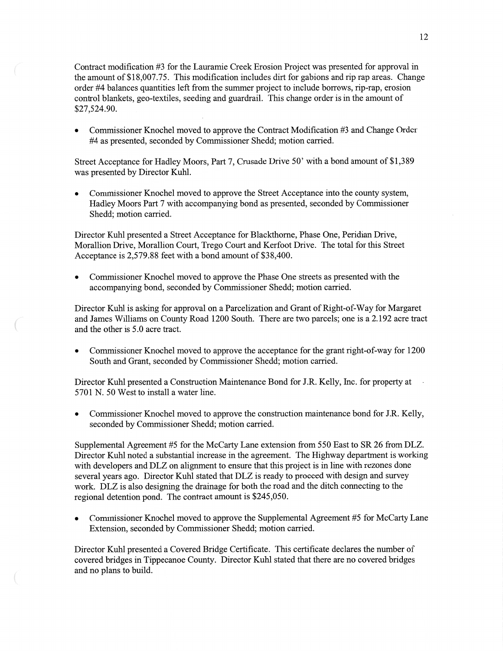Contract modification #3 for the Lauramie Creek **Erosion** Project was presented for approval in the amount of \$18,007.75. **This** modification includes dirt for gabions and rip rap areas. Change order #4 balances quantifies left from the summer project to include borrows, rip-rap, erosion control blankets, geo-textiles, seeding and guardrail. **This** change order is in the amount of \$27,524.90.

**0** Commissioner Knochel moved to approve the Contract Modification #3 and Change Order #4 as presented, seconded by Commissioner Shedd; motion carried.

Street Acceptance for Hadley Moors, Part 7, Crusade Drive 50' with a bond amount of \$1,389 was presented by Director Kuhl.

**0** Commissioner Knochel moved to approve the Street Acceptance **into** the county system, Hadley Moors Part 7 with accompanying bond as presented, seconded by Commissioner Shedd; motion carried.

Director Kuhl presented a Street Acceptance for Blackthorne, Phase One, Peridian Drive, Morallion Drive, Morallion Court, Trego Court and Kerfoot Drive. The total for this Street Acceptance is 2,579.88 feet with a bond amount of \$38,400.

**0** Commissioner Knochel moved to approve the Phase One streets as presented with the accompanying bond, seconded by Commissioner Shedd; motion carried.

Director Kuhl is asking for approval on a Parcelization and Grant of Right-of-Way for Margaret and James Williams on County Road 1200 South. There are two parcels; one is a 2.192 acre tract and the other is 5.0 acre tract.

**0** Commissioner Knochel moved to approve the acceptance for the grant right-of—way for 1200 South and Grant, seconded by Commissioner Shedd; motion carried.

Director Kuhl presented **a** Construction Maintenance **Bond** for J .R. Kelly, Inc. for property at 5701 N. 50 West to install a water line.

Commissioner Knochel moved to approve the construction maintenance bond for J.R. Kelly, seconded by Commissioner Shedd; motion carried.

Supplemental Agreement #5 for the McCarty Lane extension fiom 550 East to SR 26 from DLZ. Director Kuhl noted a substantial increase in the agreement. The Highway department is working with developers and DLZ on alignment to ensure that this project is in **line** with rezones done several years ago. Director Kuhl stated that DLZ is ready to proceed with design and survey work. DLZ is also designing the drainage for both the road and the ditch connecting to the regional detention pond. The contract amount is \$245,050.

**0** Commissioner Knochel moved to approve the Supplemental Agreement #5 for McCarty Lane Extension, seconded by Commissioner Shedd; **motion** carried.

Director Kuhl presented a Covered Bridge Certificate. **This** certificate declares the number of covered bridges in Tippecanoe County. Director Kuhl stated that there are no covered bridges and no plans to build.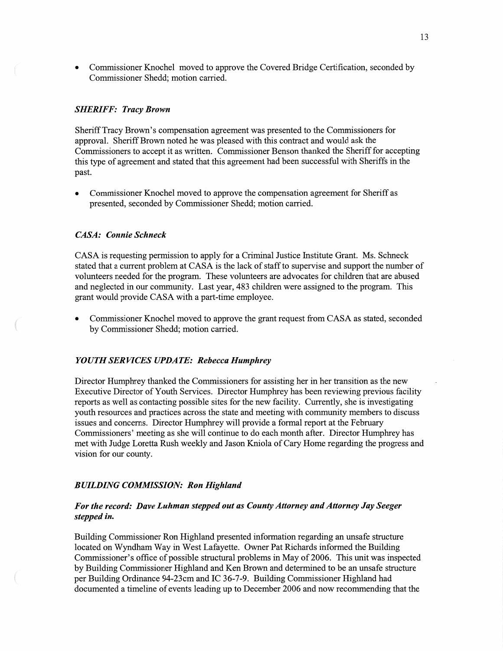*0* Commissioner Knochel moved to approve the Covered Bridge Certification, seconded by Commissioner Shedd; **motion** carried.

### *SHERIFF: Tracy Brown*

Sheriff Tracy Brown's compensation agreement was presented to the Commissioners for approval. Sheriff Brown noted he was pleased with **this** contract and would ask the Commissioners to accept it as written. Commissioner Benson thanked the Sheriff for accepting **this** type of agreement and stated that *this* agreement had been **successful** with Sheriffs in the past.

**0** Commissioner Knochel moved to approve the compensation agreement for Sheriff as presented, seconded by Commissioner Shedd; motion carried.

#### *CASA: Connie Schneck*

CASA is requesting permission to apply for **a** Criminal Justice Institute Grant. Ms. Schneck stated that a current problem at **CASA** is the lack of staff to supervise and support the number of volunteers needed for the program. These volunteers are advocates for children that are abused and neglected in our community. Last year, 483 children were assigned to the program. **This**  grant would provide **CASA** with a part-time employee.

**0** Commissioner Knochel moved to approve the grant request from CASA as stated, seconded by Commissioner Shedd; **motion** carried.

#### *YOUTH* SER *VICES UPDATE: Rebecca Humphrey*

Director Humphrey **thanked** the Commissioners for assisting her in her transition as the new Executive Director of Youth Services. Director Humphrey has been reviewing previous facility reports as well as contacting possible sites for the new facility. Currently, she is investigating youth resources and practices across the state and meeting With community members to discuss issues and concerns. Director Humphrey will provide a formal report at the February Commissioners' meeting as she **will continue** to do each month after. Director Humphrey has met with Judge Loretta Rush weekly and Jason Kniola of Cary Home regarding the progress and vision for our county.

#### *BUILDING COMMISSION:* Ron *Highland*

## For the *record: Dave Luhman stepped* out as *County Attorney* and *Attorney* Jay *Seeger stepped* in.

Building Commissioner Ron Highland presented information regarding an unsafe structure located on Wyndham Way in West Lafayette. Owner Pat Richards informed the Building Commissioner's office of possible structural problems in May of 2006. This unit was inspected by Building Commissioner **Highland** and Ken Brown and determined to be an unsafe structure per Building Ordinance 94-23cm and IC 36-7-9. Building Commissioner Highland had documented a timeline of events leading up to December 2006 and now recommending that the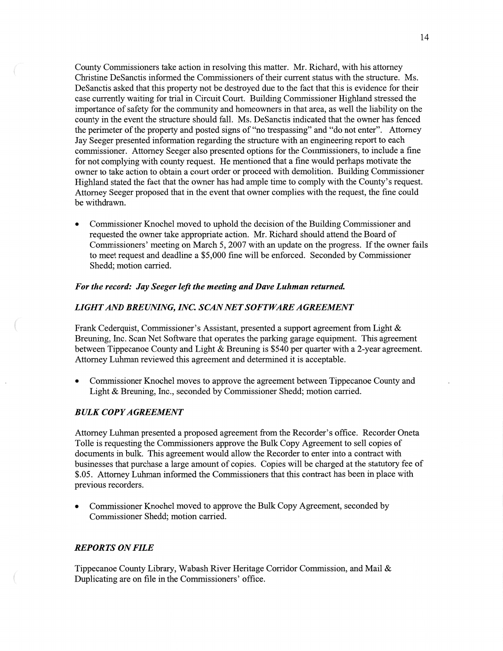County Commissioners take action in resolving this matter. Mr. Richard, with his attorney Christine DeSanctis informed the Commissioners of their current status with the structure. Ms. DeSanctis asked that this property not be destroyed due to the fact that this is evidence for their case currently waiting for trial in Circuit Court. Building Commissioner Highland stressed the importance of safety for the community and homeowners in **that** area, as well the liability on the county in the event the structure should fall. Ms. DeSanctis indicated that the owner has fenced the perimeter of the property and posted signs of "no trespassing" and "do not enter". Attorney Jay Seeger presented information regarding the structure with an engineering report to each commissioner. Attorney Seeger also presented options for the Commissioners, to include a fine for not complying with county request. He mentioned that a fine would perhaps motivate the owner to take action to obtain a court order or proceed with demolition. Building Commissioner Highland stated the fact that the owner has had ample time to comply with the County's request. Attorney Seeger proposed that in the event that owner complies with the request, the fine could be withdrawn.

**0** Commissioner Knochel moved to uphold the **decision** of the Building Commissioner and requested the owner take appropriate action. Mr. Richard should attend the Board of Commissioners' meeting on March 5, 2007 with an update on the progress. If the owner fails to meet request and deadline **a** \$5,000 fine will be enforced. Seconded by Commissioner Shedd; **motion** carried.

#### For the *record:* Jay *Seeger left* the *meeting* and *Dave Luhman returned.*

## *LIGHT* AND *BREUNING, INC. SCAN* NE *T SOFT WARE AGREEMENT*

Frank Cederquist, Commissioner's Assistant, presented **a** support agreement from Light & Breuning, Inc. Scan Net Software that operates the parking garage equipment. **This** agreement between Tippecanoe County and Light & Breuning is \$540 per quarter with a 2-year agreement. Attorney Luhman reviewed this agreement and determined it is acceptable.

**0** Commissioner Knochel moves to approve the agreement between Tippecanoe County and Light & Breuning, Inc., seconded by Commissioner Shedd; motion carried.

## *BULK COPY AGREEMENT*

Attorney Luhman presented a proposed agreement from the Recorder's office. Recorder **Oneta**  Tolle is requesting the Commissioners approve the Bulk Copy Agreement to sell copies of documents in bulk. This agreement would allow the Recorder to enter into a contract With businesses that purchase a large amount of copies. Copies Will be charged at the statutory fee of \$.05. Attorney Luhman informed the Commissioners that this contract has been in place with previous recorders.

**0** Commissioner Knochel **moved** to approve the Bulk Copy Agreement, seconded by Commissioner Shedd; motion carried.

### *REPORTS* ON *FILE*

Tippecanoe County Library, Wabash River Heritage Corridor Commission, and Mail & Duplicating are on file in the Commissioners' office.